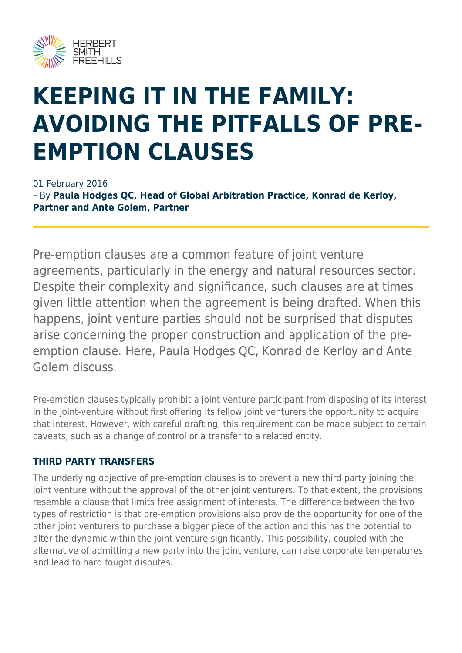

# **KEEPING IT IN THE FAMILY: AVOIDING THE PITFALLS OF PRE-EMPTION CLAUSES**

01 February 2016

– By **Paula Hodges QC, Head of Global Arbitration Practice, Konrad de Kerloy, Partner and Ante Golem, Partner**

Pre-emption clauses are a common feature of joint venture agreements, particularly in the energy and natural resources sector. Despite their complexity and significance, such clauses are at times given little attention when the agreement is being drafted. When this happens, joint venture parties should not be surprised that disputes arise concerning the proper construction and application of the preemption clause. Here, Paula Hodges QC, Konrad de Kerloy and Ante Golem discuss.

Pre-emption clauses typically prohibit a joint venture participant from disposing of its interest in the joint-venture without first offering its fellow joint venturers the opportunity to acquire that interest. However, with careful drafting, this requirement can be made subject to certain caveats, such as a change of control or a transfer to a related entity.

#### **THIRD PARTY TRANSFERS**

The underlying objective of pre-emption clauses is to prevent a new third party joining the joint venture without the approval of the other joint venturers. To that extent, the provisions resemble a clause that limits free assignment of interests. The difference between the two types of restriction is that pre-emption provisions also provide the opportunity for one of the other joint venturers to purchase a bigger piece of the action and this has the potential to alter the dynamic within the joint venture significantly. This possibility, coupled with the alternative of admitting a new party into the joint venture, can raise corporate temperatures and lead to hard fought disputes.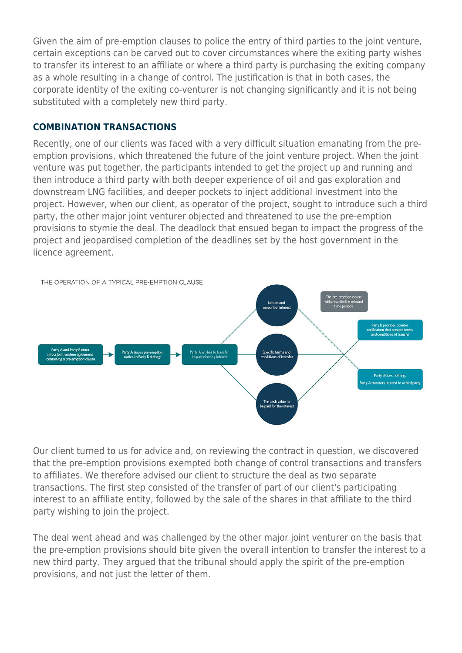Given the aim of pre-emption clauses to police the entry of third parties to the joint venture, certain exceptions can be carved out to cover circumstances where the exiting party wishes to transfer its interest to an affiliate or where a third party is purchasing the exiting company as a whole resulting in a change of control. The justification is that in both cases, the corporate identity of the exiting co-venturer is not changing significantly and it is not being substituted with a completely new third party.

#### **COMBINATION TRANSACTIONS**

Recently, one of our clients was faced with a very difficult situation emanating from the preemption provisions, which threatened the future of the joint venture project. When the joint venture was put together, the participants intended to get the project up and running and then introduce a third party with both deeper experience of oil and gas exploration and downstream LNG facilities, and deeper pockets to inject additional investment into the project. However, when our client, as operator of the project, sought to introduce such a third party, the other major joint venturer objected and threatened to use the pre-emption provisions to stymie the deal. The deadlock that ensued began to impact the progress of the project and jeopardised completion of the deadlines set by the host government in the licence agreement.



Our client turned to us for advice and, on reviewing the contract in question, we discovered that the pre-emption provisions exempted both change of control transactions and transfers to affiliates. We therefore advised our client to structure the deal as two separate transactions. The first step consisted of the transfer of part of our client's participating interest to an affiliate entity, followed by the sale of the shares in that affiliate to the third party wishing to join the project.

The deal went ahead and was challenged by the other major joint venturer on the basis that the pre-emption provisions should bite given the overall intention to transfer the interest to a new third party. They argued that the tribunal should apply the spirit of the pre-emption provisions, and not just the letter of them.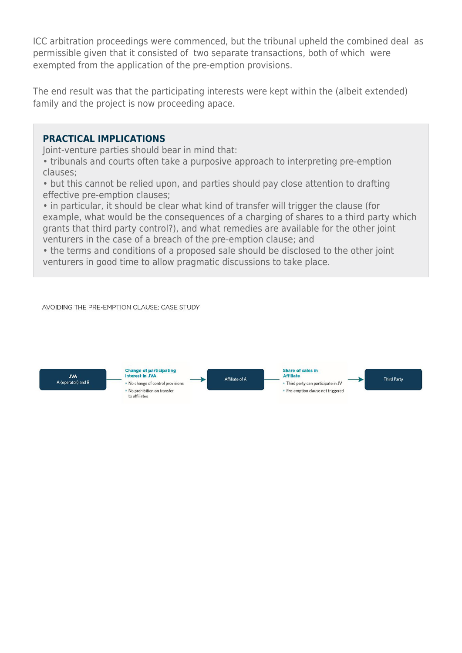ICC arbitration proceedings were commenced, but the tribunal upheld the combined deal as permissible given that it consisted of two separate transactions, both of which were exempted from the application of the pre-emption provisions.

The end result was that the participating interests were kept within the (albeit extended) family and the project is now proceeding apace.

#### **PRACTICAL IMPLICATIONS**

Joint-venture parties should bear in mind that:

• tribunals and courts often take a purposive approach to interpreting pre-emption clauses;

• but this cannot be relied upon, and parties should pay close attention to drafting effective pre-emption clauses;

• in particular, it should be clear what kind of transfer will trigger the clause (for example, what would be the consequences of a charging of shares to a third party which grants that third party control?), and what remedies are available for the other joint venturers in the case of a breach of the pre-emption clause; and

• the terms and conditions of a proposed sale should be disclosed to the other joint venturers in good time to allow pragmatic discussions to take place.

AVOIDING THE PRE-EMPTION CLAUSE: CASE STUDY